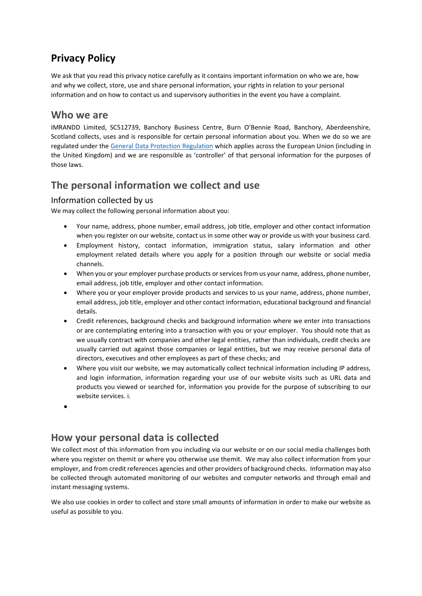# **Privacy Policy**

We ask that you read this privacy notice carefully as it contains important information on who we are, how and why we collect, store, use and share personal information, your rights in relation to your personal information and on how to contact us and supervisory authorities in the event you have a complaint.

### **Who we are**

IMRANDD Limited, SC512739, Banchory Business Centre, Burn O'Bennie Road, Banchory, Aberdeenshire, Scotland collects, uses and is responsible for certain personal information about you. When we do so we are regulated under the [General Data Protection Regulation](http://eur-lex.europa.eu/legal-content/EN/TXT/PDF/?uri=CELEX:32016R0679&from=EN) which applies across the European Union (including in the United Kingdom) and we are responsible as 'controller' of that personal information for the purposes of those laws.

### **The personal information we collect and use**

#### Information collected by us

We may collect the following personal information about you:

- Your name, address, phone number, email address, job title, employer and other contact information when you register on our website, contact us in some other way or provide us with your business card.
- Employment history, contact information, immigration status, salary information and other employment related details where you apply for a position through our website or social media channels.
- When you or your employer purchase products or services from us your name, address, phone number, email address, job title, employer and other contact information.
- Where you or your employer provide products and services to us your name, address, phone number, email address, job title, employer and other contact information, educational background and financial details.
- Credit references, background checks and background information where we enter into transactions or are contemplating entering into a transaction with you or your employer. You should note that as we usually contract with companies and other legal entities, rather than individuals, credit checks are usually carried out against those companies or legal entities, but we may receive personal data of directors, executives and other employees as part of these checks; and
- Where you visit our website, we may automatically collect technical information including IP address, and login information, information regarding your use of our website visits such as URL data and products you viewed or searched for, information you provide for the purpose of subscribing to our website services. i.
- •

## **How your personal data is collected**

We collect most of this information from you including via our website or on our social media challenges both where you register on themit or where you otherwise use themit. We may also collect information from your employer, and from credit references agencies and other providers of background checks. Information may also be collected through automated monitoring of our websites and computer networks and through email and instant messaging systems.

We also use cookies in order to collect and store small amounts of information in order to make our website as useful as possible to you.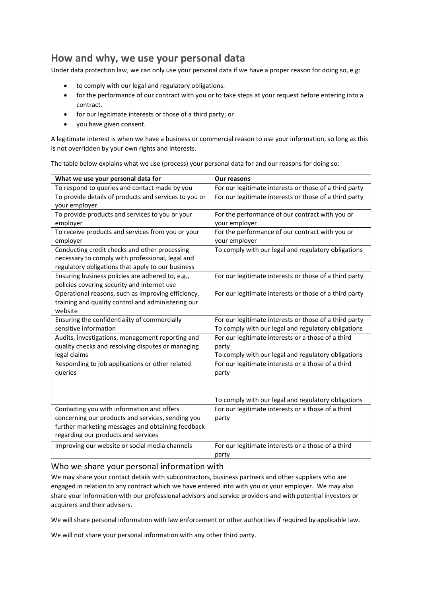### **How and why, we use your personal data**

Under data protection law, we can only use your personal data if we have a proper reason for doing so, e.g:

- to comply with our legal and regulatory obligations.
- for the performance of our contract with you or to take steps at your request before entering into a contract.
- for our legitimate interests or those of a third party; or
- you have given consent.

A legitimate interest is when we have a business or commercial reason to use your information, so long as this is not overridden by your own rights and interests.

The table below explains what we use (process) your personal data for and our reasons for doing so:

| To respond to queries and contact made by you<br>For our legitimate interests or those of a third party<br>To provide details of products and services to you or<br>For our legitimate interests or those of a third party<br>your employer<br>To provide products and services to you or your<br>For the performance of our contract with you or<br>your employer<br>employer<br>To receive products and services from you or your<br>For the performance of our contract with you or<br>your employer<br>employer<br>Conducting credit checks and other processing<br>To comply with our legal and regulatory obligations<br>necessary to comply with professional, legal and<br>regulatory obligations that apply to our business<br>Ensuring business policies are adhered to, e.g.,<br>For our legitimate interests or those of a third party<br>policies covering security and internet use<br>Operational reasons, such as improving efficiency,<br>For our legitimate interests or those of a third party<br>training and quality control and administering our<br>website<br>Ensuring the confidentiality of commercially<br>For our legitimate interests or those of a third party<br>sensitive information<br>To comply with our legal and regulatory obligations<br>For our legitimate interests or a those of a third<br>Audits, investigations, management reporting and<br>quality checks and resolving disputes or managing<br>party<br>legal claims<br>To comply with our legal and regulatory obligations<br>Responding to job applications or other related<br>For our legitimate interests or a those of a third<br>queries<br>party<br>To comply with our legal and regulatory obligations<br>Contacting you with information and offers<br>For our legitimate interests or a those of a third<br>concerning our products and services, sending you<br>party<br>further marketing messages and obtaining feedback<br>regarding our products and services<br>For our legitimate interests or a those of a third<br>Improving our website or social media channels | What we use your personal data for | <b>Our reasons</b> |
|---------------------------------------------------------------------------------------------------------------------------------------------------------------------------------------------------------------------------------------------------------------------------------------------------------------------------------------------------------------------------------------------------------------------------------------------------------------------------------------------------------------------------------------------------------------------------------------------------------------------------------------------------------------------------------------------------------------------------------------------------------------------------------------------------------------------------------------------------------------------------------------------------------------------------------------------------------------------------------------------------------------------------------------------------------------------------------------------------------------------------------------------------------------------------------------------------------------------------------------------------------------------------------------------------------------------------------------------------------------------------------------------------------------------------------------------------------------------------------------------------------------------------------------------------------------------------------------------------------------------------------------------------------------------------------------------------------------------------------------------------------------------------------------------------------------------------------------------------------------------------------------------------------------------------------------------------------------------------------------------------------------------------------------------------------------------------------------|------------------------------------|--------------------|
|                                                                                                                                                                                                                                                                                                                                                                                                                                                                                                                                                                                                                                                                                                                                                                                                                                                                                                                                                                                                                                                                                                                                                                                                                                                                                                                                                                                                                                                                                                                                                                                                                                                                                                                                                                                                                                                                                                                                                                                                                                                                                       |                                    |                    |
|                                                                                                                                                                                                                                                                                                                                                                                                                                                                                                                                                                                                                                                                                                                                                                                                                                                                                                                                                                                                                                                                                                                                                                                                                                                                                                                                                                                                                                                                                                                                                                                                                                                                                                                                                                                                                                                                                                                                                                                                                                                                                       |                                    |                    |
|                                                                                                                                                                                                                                                                                                                                                                                                                                                                                                                                                                                                                                                                                                                                                                                                                                                                                                                                                                                                                                                                                                                                                                                                                                                                                                                                                                                                                                                                                                                                                                                                                                                                                                                                                                                                                                                                                                                                                                                                                                                                                       |                                    |                    |
|                                                                                                                                                                                                                                                                                                                                                                                                                                                                                                                                                                                                                                                                                                                                                                                                                                                                                                                                                                                                                                                                                                                                                                                                                                                                                                                                                                                                                                                                                                                                                                                                                                                                                                                                                                                                                                                                                                                                                                                                                                                                                       |                                    |                    |
|                                                                                                                                                                                                                                                                                                                                                                                                                                                                                                                                                                                                                                                                                                                                                                                                                                                                                                                                                                                                                                                                                                                                                                                                                                                                                                                                                                                                                                                                                                                                                                                                                                                                                                                                                                                                                                                                                                                                                                                                                                                                                       |                                    |                    |
|                                                                                                                                                                                                                                                                                                                                                                                                                                                                                                                                                                                                                                                                                                                                                                                                                                                                                                                                                                                                                                                                                                                                                                                                                                                                                                                                                                                                                                                                                                                                                                                                                                                                                                                                                                                                                                                                                                                                                                                                                                                                                       |                                    |                    |
|                                                                                                                                                                                                                                                                                                                                                                                                                                                                                                                                                                                                                                                                                                                                                                                                                                                                                                                                                                                                                                                                                                                                                                                                                                                                                                                                                                                                                                                                                                                                                                                                                                                                                                                                                                                                                                                                                                                                                                                                                                                                                       |                                    |                    |
|                                                                                                                                                                                                                                                                                                                                                                                                                                                                                                                                                                                                                                                                                                                                                                                                                                                                                                                                                                                                                                                                                                                                                                                                                                                                                                                                                                                                                                                                                                                                                                                                                                                                                                                                                                                                                                                                                                                                                                                                                                                                                       |                                    |                    |
|                                                                                                                                                                                                                                                                                                                                                                                                                                                                                                                                                                                                                                                                                                                                                                                                                                                                                                                                                                                                                                                                                                                                                                                                                                                                                                                                                                                                                                                                                                                                                                                                                                                                                                                                                                                                                                                                                                                                                                                                                                                                                       |                                    |                    |
|                                                                                                                                                                                                                                                                                                                                                                                                                                                                                                                                                                                                                                                                                                                                                                                                                                                                                                                                                                                                                                                                                                                                                                                                                                                                                                                                                                                                                                                                                                                                                                                                                                                                                                                                                                                                                                                                                                                                                                                                                                                                                       |                                    |                    |
|                                                                                                                                                                                                                                                                                                                                                                                                                                                                                                                                                                                                                                                                                                                                                                                                                                                                                                                                                                                                                                                                                                                                                                                                                                                                                                                                                                                                                                                                                                                                                                                                                                                                                                                                                                                                                                                                                                                                                                                                                                                                                       |                                    |                    |
|                                                                                                                                                                                                                                                                                                                                                                                                                                                                                                                                                                                                                                                                                                                                                                                                                                                                                                                                                                                                                                                                                                                                                                                                                                                                                                                                                                                                                                                                                                                                                                                                                                                                                                                                                                                                                                                                                                                                                                                                                                                                                       |                                    |                    |
|                                                                                                                                                                                                                                                                                                                                                                                                                                                                                                                                                                                                                                                                                                                                                                                                                                                                                                                                                                                                                                                                                                                                                                                                                                                                                                                                                                                                                                                                                                                                                                                                                                                                                                                                                                                                                                                                                                                                                                                                                                                                                       |                                    |                    |
|                                                                                                                                                                                                                                                                                                                                                                                                                                                                                                                                                                                                                                                                                                                                                                                                                                                                                                                                                                                                                                                                                                                                                                                                                                                                                                                                                                                                                                                                                                                                                                                                                                                                                                                                                                                                                                                                                                                                                                                                                                                                                       |                                    |                    |
|                                                                                                                                                                                                                                                                                                                                                                                                                                                                                                                                                                                                                                                                                                                                                                                                                                                                                                                                                                                                                                                                                                                                                                                                                                                                                                                                                                                                                                                                                                                                                                                                                                                                                                                                                                                                                                                                                                                                                                                                                                                                                       |                                    |                    |
|                                                                                                                                                                                                                                                                                                                                                                                                                                                                                                                                                                                                                                                                                                                                                                                                                                                                                                                                                                                                                                                                                                                                                                                                                                                                                                                                                                                                                                                                                                                                                                                                                                                                                                                                                                                                                                                                                                                                                                                                                                                                                       |                                    |                    |
|                                                                                                                                                                                                                                                                                                                                                                                                                                                                                                                                                                                                                                                                                                                                                                                                                                                                                                                                                                                                                                                                                                                                                                                                                                                                                                                                                                                                                                                                                                                                                                                                                                                                                                                                                                                                                                                                                                                                                                                                                                                                                       |                                    |                    |
|                                                                                                                                                                                                                                                                                                                                                                                                                                                                                                                                                                                                                                                                                                                                                                                                                                                                                                                                                                                                                                                                                                                                                                                                                                                                                                                                                                                                                                                                                                                                                                                                                                                                                                                                                                                                                                                                                                                                                                                                                                                                                       |                                    |                    |
|                                                                                                                                                                                                                                                                                                                                                                                                                                                                                                                                                                                                                                                                                                                                                                                                                                                                                                                                                                                                                                                                                                                                                                                                                                                                                                                                                                                                                                                                                                                                                                                                                                                                                                                                                                                                                                                                                                                                                                                                                                                                                       |                                    |                    |
|                                                                                                                                                                                                                                                                                                                                                                                                                                                                                                                                                                                                                                                                                                                                                                                                                                                                                                                                                                                                                                                                                                                                                                                                                                                                                                                                                                                                                                                                                                                                                                                                                                                                                                                                                                                                                                                                                                                                                                                                                                                                                       |                                    |                    |
|                                                                                                                                                                                                                                                                                                                                                                                                                                                                                                                                                                                                                                                                                                                                                                                                                                                                                                                                                                                                                                                                                                                                                                                                                                                                                                                                                                                                                                                                                                                                                                                                                                                                                                                                                                                                                                                                                                                                                                                                                                                                                       |                                    |                    |
|                                                                                                                                                                                                                                                                                                                                                                                                                                                                                                                                                                                                                                                                                                                                                                                                                                                                                                                                                                                                                                                                                                                                                                                                                                                                                                                                                                                                                                                                                                                                                                                                                                                                                                                                                                                                                                                                                                                                                                                                                                                                                       |                                    |                    |
|                                                                                                                                                                                                                                                                                                                                                                                                                                                                                                                                                                                                                                                                                                                                                                                                                                                                                                                                                                                                                                                                                                                                                                                                                                                                                                                                                                                                                                                                                                                                                                                                                                                                                                                                                                                                                                                                                                                                                                                                                                                                                       |                                    |                    |
|                                                                                                                                                                                                                                                                                                                                                                                                                                                                                                                                                                                                                                                                                                                                                                                                                                                                                                                                                                                                                                                                                                                                                                                                                                                                                                                                                                                                                                                                                                                                                                                                                                                                                                                                                                                                                                                                                                                                                                                                                                                                                       |                                    |                    |
|                                                                                                                                                                                                                                                                                                                                                                                                                                                                                                                                                                                                                                                                                                                                                                                                                                                                                                                                                                                                                                                                                                                                                                                                                                                                                                                                                                                                                                                                                                                                                                                                                                                                                                                                                                                                                                                                                                                                                                                                                                                                                       |                                    |                    |
|                                                                                                                                                                                                                                                                                                                                                                                                                                                                                                                                                                                                                                                                                                                                                                                                                                                                                                                                                                                                                                                                                                                                                                                                                                                                                                                                                                                                                                                                                                                                                                                                                                                                                                                                                                                                                                                                                                                                                                                                                                                                                       |                                    |                    |
|                                                                                                                                                                                                                                                                                                                                                                                                                                                                                                                                                                                                                                                                                                                                                                                                                                                                                                                                                                                                                                                                                                                                                                                                                                                                                                                                                                                                                                                                                                                                                                                                                                                                                                                                                                                                                                                                                                                                                                                                                                                                                       |                                    |                    |
|                                                                                                                                                                                                                                                                                                                                                                                                                                                                                                                                                                                                                                                                                                                                                                                                                                                                                                                                                                                                                                                                                                                                                                                                                                                                                                                                                                                                                                                                                                                                                                                                                                                                                                                                                                                                                                                                                                                                                                                                                                                                                       |                                    |                    |
|                                                                                                                                                                                                                                                                                                                                                                                                                                                                                                                                                                                                                                                                                                                                                                                                                                                                                                                                                                                                                                                                                                                                                                                                                                                                                                                                                                                                                                                                                                                                                                                                                                                                                                                                                                                                                                                                                                                                                                                                                                                                                       |                                    |                    |
|                                                                                                                                                                                                                                                                                                                                                                                                                                                                                                                                                                                                                                                                                                                                                                                                                                                                                                                                                                                                                                                                                                                                                                                                                                                                                                                                                                                                                                                                                                                                                                                                                                                                                                                                                                                                                                                                                                                                                                                                                                                                                       |                                    |                    |
|                                                                                                                                                                                                                                                                                                                                                                                                                                                                                                                                                                                                                                                                                                                                                                                                                                                                                                                                                                                                                                                                                                                                                                                                                                                                                                                                                                                                                                                                                                                                                                                                                                                                                                                                                                                                                                                                                                                                                                                                                                                                                       |                                    | party              |

#### Who we share your personal information with

We may share your contact details with subcontractors, business partners and other suppliers who are engaged in relation to any contract which we have entered into with you or your employer. We may also share your information with our professional advisors and service providers and with potential investors or acquirers and their advisers.

We will share personal information with law enforcement or other authorities if required by applicable law.

We will not share your personal information with any other third party.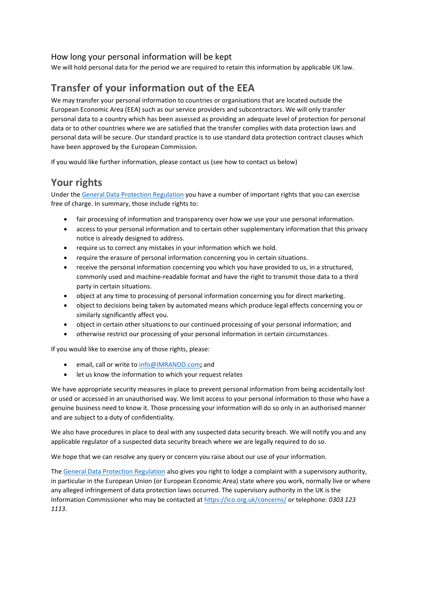#### How long your personal information will be kept

We will hold personal data for *t*he period we are required to retain this information by applicable UK law.

# **Transfer of your information out of the EEA**

We may transfer your personal information to countries or organisations that are located outside the European Economic Area (EEA) such as our service providers and subcontractors. We will only transfer personal data to a country which has been assessed as providing an adequate level of protection for personal data or to other countries where we are satisfied that the transfer complies with data protection laws and personal data will be secure. Our standard practice is to use standard data protection contract clauses which have been approved by the European Commission.

If you would like further information, please contact us (see how to contact us below)

## **Your rights**

Under th[e General Data Protection Regulation](http://eur-lex.europa.eu/legal-content/EN/TXT/PDF/?uri=CELEX:32016R0679&from=EN) you have a number of important rights that you can exercise free of charge. In summary, those include rights to:

- fair processing of information and transparency over how we use your use personal information.
- access to your personal information and to certain other supplementary information that this privacy notice is already designed to address.
- require us to correct any mistakes in your information which we hold.
- require the erasure of personal information concerning you in certain situations.
- receive the personal information concerning you which you have provided to us, in a structured, commonly used and machine-readable format and have the right to transmit those data to a third party in certain situations.
- object at any time to processing of personal information concerning you for direct marketing.
- object to decisions being taken by automated means which produce legal effects concerning you or similarly significantly affect you.
- object in certain other situations to our continued processing of your personal information; and
- otherwise restrict our processing of your personal information in certain circumstances.

If you would like to exercise any of those rights, please:

- email, call or write t[o info@IMRANDD.com](mailto:info@IMRANDD.com)**;** and
- let us know the information to which your request relates

We have appropriate security measures in place to prevent personal information from being accidentally lost or used or accessed in an unauthorised way. We limit access to your personal information to those who have a genuine business need to know it. Those processing your information will do so only in an authorised manner and are subject to a duty of confidentiality.

We also have procedures in place to deal with any suspected data security breach. We will notify you and any applicable regulator of a suspected data security breach where we are legally required to do so.

We hope that we can resolve any query or concern you raise about our use of your information.

Th[e General Data Protection Regulation](http://eur-lex.europa.eu/legal-content/EN/TXT/PDF/?uri=CELEX:32016R0679&from=EN) also gives you right to lodge a complaint with a supervisory authority, in particular in the European Union (or European Economic Area) state where you work, normally live or where any alleged infringement of data protection laws occurred. The supervisory authority in the UK is the Information Commissioner who may be contacted a[t https://ico.org.uk/concerns/](http://ico.org.uk/concerns/) or telephone: *0303 123 1113*.